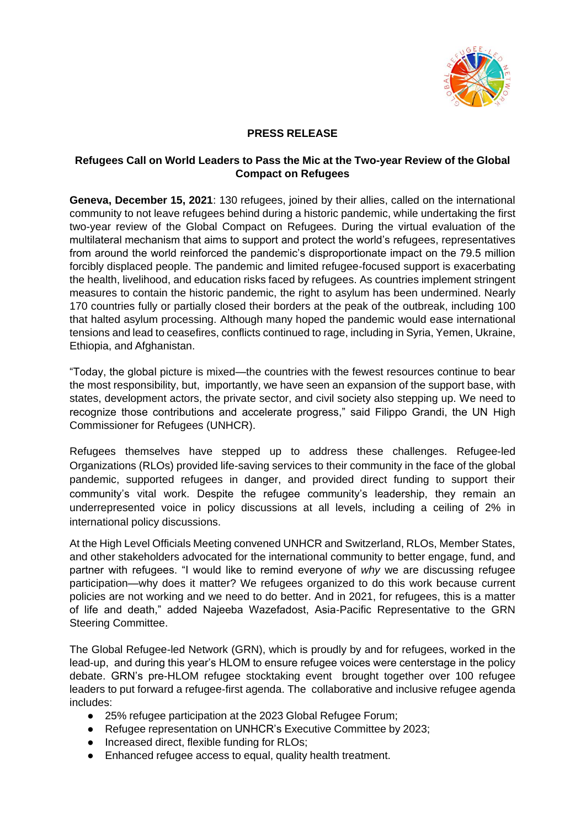

## **PRESS RELEASE**

## **Refugees Call on World Leaders to Pass the Mic at the Two-year Review of the Global Compact on Refugees**

**Geneva, December 15, 2021**: 130 refugees, joined by their allies, called on the international community to not leave refugees behind during a historic pandemic, while undertaking the first two-year review of the Global Compact on Refugees. During the virtual evaluation of the multilateral mechanism that aims to support and protect the world's refugees, representatives from around the world reinforced the pandemic's disproportionate impact on the 79.5 million forcibly displaced people. The pandemic and limited refugee-focused support is exacerbating the health, livelihood, and education risks faced by refugees. As countries implement stringent measures to contain the historic pandemic, the right to asylum has been undermined. Nearly 170 countries fully or partially closed their borders at the peak of the outbreak, including 100 that halted asylum processing. Although many hoped the pandemic would ease international tensions and lead to ceasefires, conflicts continued to rage, including in Syria, Yemen, Ukraine, Ethiopia, and Afghanistan.

"Today, the global picture is mixed—the countries with the fewest resources continue to bear the most responsibility, but, importantly, we have seen an expansion of the support base, with states, development actors, the private sector, and civil society also stepping up. We need to recognize those contributions and accelerate progress," said Filippo Grandi, the UN High Commissioner for Refugees (UNHCR).

Refugees themselves have stepped up to address these challenges. Refugee-led Organizations (RLOs) provided life-saving services to their community in the face of the global pandemic, supported refugees in danger, and provided direct funding to support their community's vital work. Despite the refugee community's leadership, they remain an underrepresented voice in policy discussions at all levels, including a ceiling of 2% in international policy discussions.

At the High Level Officials Meeting convened UNHCR and Switzerland, RLOs, Member States, and other stakeholders advocated for the international community to better engage, fund, and partner with refugees. "I would like to remind everyone of *why* we are discussing refugee participation—why does it matter? We refugees organized to do this work because current policies are not working and we need to do better. And in 2021, for refugees, this is a matter of life and death," added Najeeba Wazefadost, Asia-Pacific Representative to the GRN Steering Committee.

The Global Refugee-led Network (GRN), which is proudly by and for refugees, worked in the lead-up, and during this year's HLOM to ensure refugee voices were centerstage in the policy debate. GRN's pre-HLOM refugee stocktaking event brought together over 100 refugee leaders to put forward a refugee-first agenda. The collaborative and inclusive refugee agenda includes:

- 25% refugee participation at the 2023 Global Refugee Forum;
- Refugee representation on UNHCR's Executive Committee by 2023;
- Increased direct, flexible funding for RLOs;
- Enhanced refugee access to equal, quality health treatment.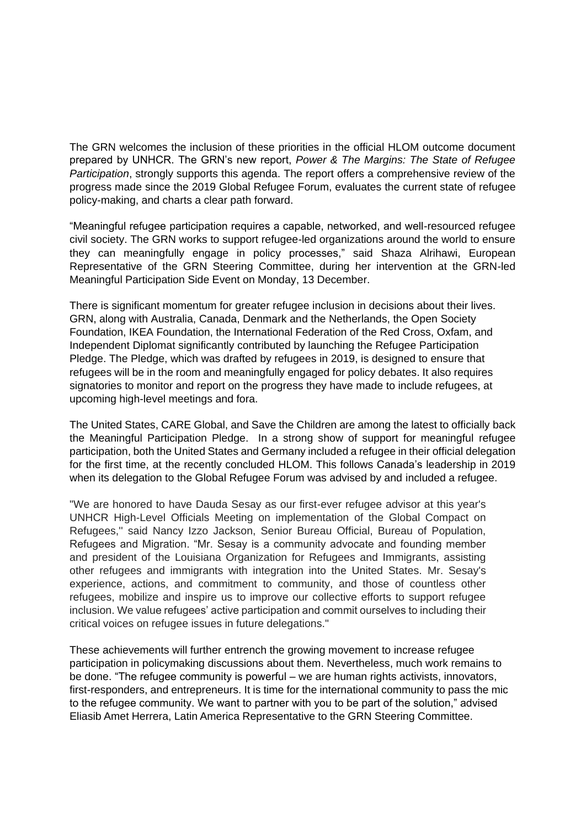The GRN welcomes the inclusion of these priorities in the official HLOM outcome document prepared by UNHCR. The GRN's new report, *Power & The Margins: The State of Refugee Participation*, strongly supports this agenda. The report offers a comprehensive review of the progress made since the 2019 Global Refugee Forum, evaluates the current state of refugee policy-making, and charts a clear path forward.

"Meaningful refugee participation requires a capable, networked, and well-resourced refugee civil society. The GRN works to support refugee-led organizations around the world to ensure they can meaningfully engage in policy processes," said Shaza Alrihawi, European Representative of the GRN Steering Committee, during her intervention at the GRN-led Meaningful Participation Side Event on Monday, 13 December.

There is significant momentum for greater refugee inclusion in decisions about their lives. GRN, along with Australia, Canada, Denmark and the Netherlands, the Open Society Foundation, IKEA Foundation, the International Federation of the Red Cross, Oxfam, and Independent Diplomat significantly contributed by launching the Refugee Participation Pledge. The Pledge, which was drafted by refugees in 2019, is designed to ensure that refugees will be in the room and meaningfully engaged for policy debates. It also requires signatories to monitor and report on the progress they have made to include refugees, at upcoming high-level meetings and fora.

The United States, CARE Global, and Save the Children are among the latest to officially back the Meaningful Participation Pledge. In a strong show of support for meaningful refugee participation, both the United States and Germany included a refugee in their official delegation for the first time, at the recently concluded HLOM. This follows Canada's leadership in 2019 when its delegation to the Global Refugee Forum was advised by and included a refugee.

"We are honored to have Dauda Sesay as our first-ever refugee advisor at this year's UNHCR High-Level Officials Meeting on implementation of the Global Compact on Refugees,'' said Nancy Izzo Jackson, Senior Bureau Official, Bureau of Population, Refugees and Migration. "Mr. Sesay is a community advocate and founding member and president of the Louisiana Organization for Refugees and Immigrants, assisting other refugees and immigrants with integration into the United States. Mr. Sesay's experience, actions, and commitment to community, and those of countless other refugees, mobilize and inspire us to improve our collective efforts to support refugee inclusion. We value refugees' active participation and commit ourselves to including their critical voices on refugee issues in future delegations."

These achievements will further entrench the growing movement to increase refugee participation in policymaking discussions about them. Nevertheless, much work remains to be done. "The refugee community is powerful – we are human rights activists, innovators, first-responders, and entrepreneurs. It is time for the international community to pass the mic to the refugee community. We want to partner with you to be part of the solution," advised Eliasib Amet Herrera, Latin America Representative to the GRN Steering Committee.